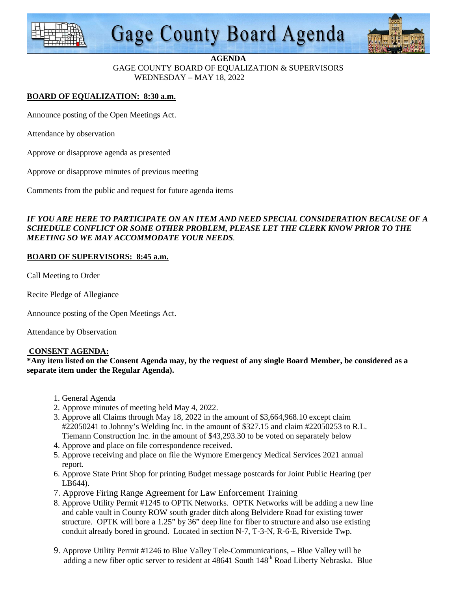

# **Gage County Board Agenda**



#### **AGENDA**

GAGE COUNTY BOARD OF EQUALIZATION & SUPERVISORS WEDNESDAY – MAY 18, 2022

# **BOARD OF EQUALIZATION: 8:30 a.m.**

Announce posting of the Open Meetings Act.

Attendance by observation

Approve or disapprove agenda as presented

Approve or disapprove minutes of previous meeting

Comments from the public and request for future agenda items

## *IF YOU ARE HERE TO PARTICIPATE ON AN ITEM AND NEED SPECIAL CONSIDERATION BECAUSE OF A SCHEDULE CONFLICT OR SOME OTHER PROBLEM, PLEASE LET THE CLERK KNOW PRIOR TO THE MEETING SO WE MAY ACCOMMODATE YOUR NEEDS.*

#### **BOARD OF SUPERVISORS: 8:45 a.m.**

Call Meeting to Order

Recite Pledge of Allegiance

Announce posting of the Open Meetings Act.

Attendance by Observation

#### **CONSENT AGENDA:**

**\*Any item listed on the Consent Agenda may, by the request of any single Board Member, be considered as a separate item under the Regular Agenda).** 

- 1. General Agenda
- 2. Approve minutes of meeting held May 4, 2022.
- 3. Approve all Claims through May 18, 2022 in the amount of \$3,664,968.10 except claim #22050241 to Johnny's Welding Inc. in the amount of \$327.15 and claim #22050253 to R.L. Tiemann Construction Inc. in the amount of \$43,293.30 to be voted on separately below
- 4. Approve and place on file correspondence received.
- 5. Approve receiving and place on file the Wymore Emergency Medical Services 2021 annual report.
- 6. Approve State Print Shop for printing Budget message postcards for Joint Public Hearing (per LB644).
- 7. Approve Firing Range Agreement for Law Enforcement Training
- 8. Approve Utility Permit #1245 to OPTK Networks. OPTK Networks will be adding a new line and cable vault in County ROW south grader ditch along Belvidere Road for existing tower structure. OPTK will bore a 1.25" by 36" deep line for fiber to structure and also use existing conduit already bored in ground. Located in section N-7, T-3-N, R-6-E, Riverside Twp.
- 9. Approve Utility Permit #1246 to Blue Valley Tele-Communications, Blue Valley will be adding a new fiber optic server to resident at 48641 South 148<sup>th</sup> Road Liberty Nebraska. Blue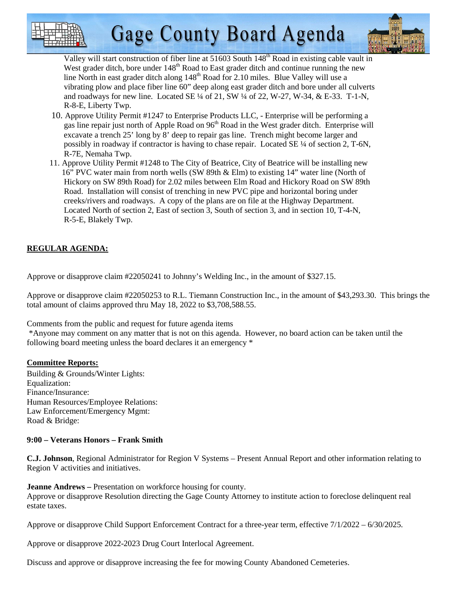



Valley will start construction of fiber line at 51603 South  $148<sup>th</sup>$  Road in existing cable vault in West grader ditch, bore under  $148<sup>th</sup>$  Road to East grader ditch and continue running the new line North in east grader ditch along 148<sup>th</sup> Road for 2.10 miles. Blue Valley will use a vibrating plow and place fiber line 60" deep along east grader ditch and bore under all culverts and roadways for new line. Located SE ¼ of 21, SW ¼ of 22, W-27, W-34, & E-33. T-1-N, R-8-E, Liberty Twp.

- 10. Approve Utility Permit #1247 to Enterprise Products LLC, Enterprise will be performing a gas line repair just north of Apple Road on 96<sup>th</sup> Road in the West grader ditch. Enterprise will excavate a trench 25' long by 8' deep to repair gas line. Trench might become larger and possibly in roadway if contractor is having to chase repair. Located SE ¼ of section 2, T-6N, R-7E, Nemaha Twp.
- 11. Approve Utility Permit #1248 to The City of Beatrice, City of Beatrice will be installing new 16" PVC water main from north wells (SW 89th & Elm) to existing 14" water line (North of Hickory on SW 89th Road) for 2.02 miles between Elm Road and Hickory Road on SW 89th Road. Installation will consist of trenching in new PVC pipe and horizontal boring under creeks/rivers and roadways. A copy of the plans are on file at the Highway Department. Located North of section 2, East of section 3, South of section 3, and in section 10, T-4-N, R-5-E, Blakely Twp.

# **REGULAR AGENDA:**

Approve or disapprove claim #22050241 to Johnny's Welding Inc., in the amount of \$327.15.

Approve or disapprove claim #22050253 to R.L. Tiemann Construction Inc., in the amount of \$43,293.30. This brings the total amount of claims approved thru May 18, 2022 to \$3,708,588.55.

Comments from the public and request for future agenda items

 \*Anyone may comment on any matter that is not on this agenda. However, no board action can be taken until the following board meeting unless the board declares it an emergency \*

# **Committee Reports:**

Building & Grounds/Winter Lights: Equalization: Finance/Insurance: Human Resources/Employee Relations: Law Enforcement/Emergency Mgmt: Road & Bridge:

# **9:00 – Veterans Honors – Frank Smith**

**C.J. Johnson**, Regional Administrator for Region V Systems – Present Annual Report and other information relating to Region V activities and initiatives.

**Jeanne Andrews –** Presentation on workforce housing for county. Approve or disapprove Resolution directing the Gage County Attorney to institute action to foreclose delinquent real estate taxes.

Approve or disapprove Child Support Enforcement Contract for a three-year term, effective 7/1/2022 – 6/30/2025.

Approve or disapprove 2022-2023 Drug Court Interlocal Agreement.

Discuss and approve or disapprove increasing the fee for mowing County Abandoned Cemeteries.